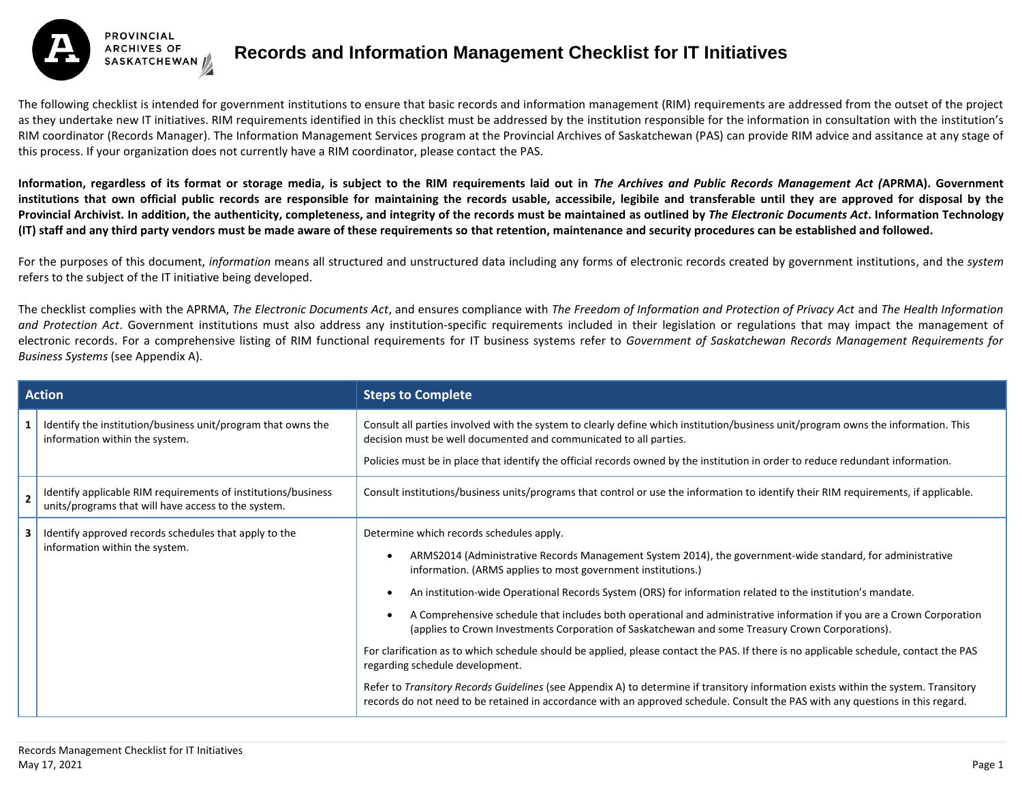

## **Records and Information Management Checklist for IT Initiatives**

The following checklist is intended for government institutions to ensure that basic records and information management (RIM) requirements are addressed from the outset of the project as they undertake new IT initiatives. RIM requirements identified in this checklist must be addressed by the institution responsible for the information in consultation with the institution's RIM coordinator (Records Manager). The Information Management Services program at the Provincial Archives of Saskatchewan (PAS) can provide RIM advice and assitance at any stage of this process. If your organization does not currently have a RIM coordinator, please contact the PAS.

**Information, regardless of its format or storage media, is subject to the RIM requirements laid out in** *The Archives and Public Records Management Act (***APRMA). Government institutions that own official public records are responsible for maintaining the records usable, accessibile, legibile and transferable until they are approved for disposal by the Provincial Archivist. In addition, the authenticity, completeness, and integrity of the records must be maintained as outlined by** *The Electronic Documents Act***. Information Technology (IT) staff and any third party vendors must be made aware of these requirements so that retention, maintenance and security procedures can be established and followed.**

For the purposes of this document, *information* means all structured and unstructured data including any forms of electronic records created by government institutions, and the *system* refers to the subject of the IT initiative being developed.

The checklist complies with the APRMA, *The Electronic Documents Act*, and ensures compliance with *The Freedom of Information and Protection of Privacy Act* and *The Health Information and Protection Act*. Government institutions must also address any institution-specific requirements included in their legislation or regulations that may impact the management of electronic records. For a comprehensive listing of RIM functional requirements for IT business systems refer to *Government of Saskatchewan Records Management Requirements for Business Systems* (see Appendix A).

| <b>Action</b>  |                                                                                                                      | <b>Steps to Complete</b>                                                                                                                                                                                                                                                                                                                                                                                                                                                                                                                                                                                                                                                                                                                                                                                                                                                                                                                                                                                               |
|----------------|----------------------------------------------------------------------------------------------------------------------|------------------------------------------------------------------------------------------------------------------------------------------------------------------------------------------------------------------------------------------------------------------------------------------------------------------------------------------------------------------------------------------------------------------------------------------------------------------------------------------------------------------------------------------------------------------------------------------------------------------------------------------------------------------------------------------------------------------------------------------------------------------------------------------------------------------------------------------------------------------------------------------------------------------------------------------------------------------------------------------------------------------------|
|                | Identify the institution/business unit/program that owns the<br>information within the system.                       | Consult all parties involved with the system to clearly define which institution/business unit/program owns the information. This<br>decision must be well documented and communicated to all parties.                                                                                                                                                                                                                                                                                                                                                                                                                                                                                                                                                                                                                                                                                                                                                                                                                 |
|                |                                                                                                                      | Policies must be in place that identify the official records owned by the institution in order to reduce redundant information.                                                                                                                                                                                                                                                                                                                                                                                                                                                                                                                                                                                                                                                                                                                                                                                                                                                                                        |
| $\overline{2}$ | Identify applicable RIM requirements of institutions/business<br>units/programs that will have access to the system. | Consult institutions/business units/programs that control or use the information to identify their RIM requirements, if applicable.                                                                                                                                                                                                                                                                                                                                                                                                                                                                                                                                                                                                                                                                                                                                                                                                                                                                                    |
| 3              | Identify approved records schedules that apply to the<br>information within the system.                              | Determine which records schedules apply.<br>ARMS2014 (Administrative Records Management System 2014), the government-wide standard, for administrative<br>information. (ARMS applies to most government institutions.)<br>An institution-wide Operational Records System (ORS) for information related to the institution's mandate.<br>A Comprehensive schedule that includes both operational and administrative information if you are a Crown Corporation<br>(applies to Crown Investments Corporation of Saskatchewan and some Treasury Crown Corporations).<br>For clarification as to which schedule should be applied, please contact the PAS. If there is no applicable schedule, contact the PAS<br>regarding schedule development.<br>Refer to Transitory Records Guidelines (see Appendix A) to determine if transitory information exists within the system. Transitory<br>records do not need to be retained in accordance with an approved schedule. Consult the PAS with any questions in this regard. |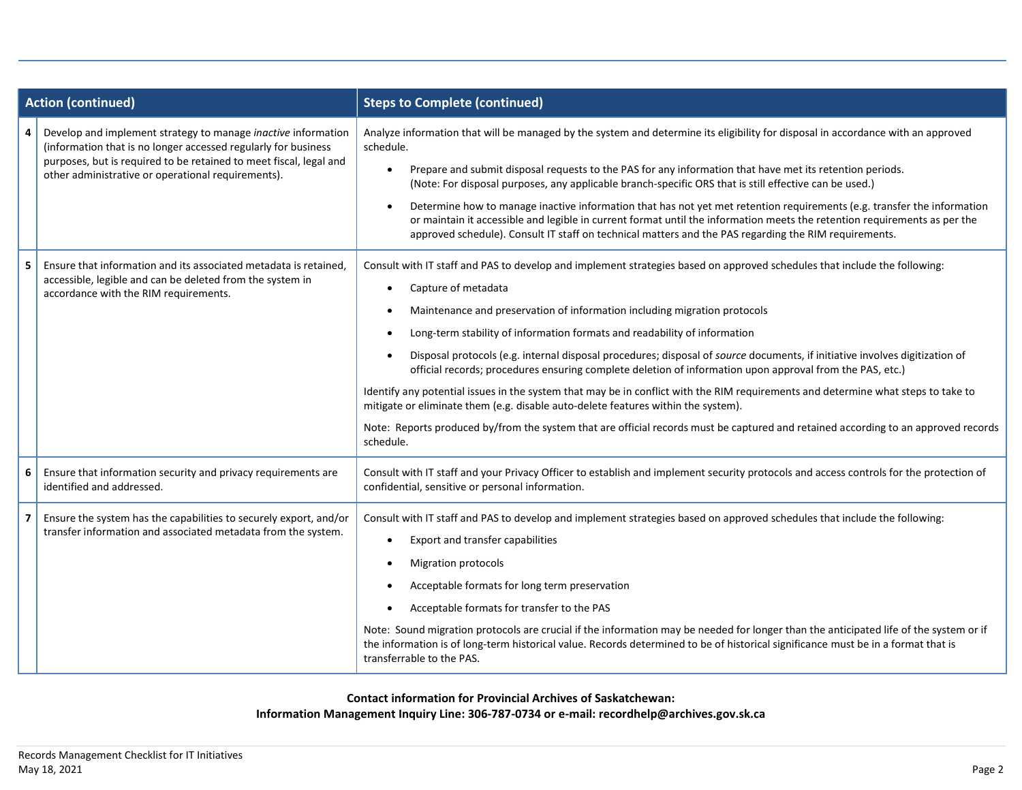| <b>Action (continued)</b> |                                                                                                                                                                                                                                                             | <b>Steps to Complete (continued)</b>                                                                                                                                                                                                                                                                                                                                                                                                                                                                                                                                                                                                                                                                                                                                                                                                                                                                                               |
|---------------------------|-------------------------------------------------------------------------------------------------------------------------------------------------------------------------------------------------------------------------------------------------------------|------------------------------------------------------------------------------------------------------------------------------------------------------------------------------------------------------------------------------------------------------------------------------------------------------------------------------------------------------------------------------------------------------------------------------------------------------------------------------------------------------------------------------------------------------------------------------------------------------------------------------------------------------------------------------------------------------------------------------------------------------------------------------------------------------------------------------------------------------------------------------------------------------------------------------------|
| 4                         | Develop and implement strategy to manage inactive information<br>(information that is no longer accessed regularly for business<br>purposes, but is required to be retained to meet fiscal, legal and<br>other administrative or operational requirements). | Analyze information that will be managed by the system and determine its eligibility for disposal in accordance with an approved<br>schedule.<br>Prepare and submit disposal requests to the PAS for any information that have met its retention periods.<br>(Note: For disposal purposes, any applicable branch-specific ORS that is still effective can be used.)<br>Determine how to manage inactive information that has not yet met retention requirements (e.g. transfer the information<br>or maintain it accessible and legible in current format until the information meets the retention requirements as per the<br>approved schedule). Consult IT staff on technical matters and the PAS regarding the RIM requirements.                                                                                                                                                                                               |
| 5                         | Ensure that information and its associated metadata is retained,<br>accessible, legible and can be deleted from the system in<br>accordance with the RIM requirements.                                                                                      | Consult with IT staff and PAS to develop and implement strategies based on approved schedules that include the following:<br>Capture of metadata<br>Maintenance and preservation of information including migration protocols<br>Long-term stability of information formats and readability of information<br>Disposal protocols (e.g. internal disposal procedures; disposal of source documents, if initiative involves digitization of<br>official records; procedures ensuring complete deletion of information upon approval from the PAS, etc.)<br>Identify any potential issues in the system that may be in conflict with the RIM requirements and determine what steps to take to<br>mitigate or eliminate them (e.g. disable auto-delete features within the system).<br>Note: Reports produced by/from the system that are official records must be captured and retained according to an approved records<br>schedule. |
| 6                         | Ensure that information security and privacy requirements are<br>identified and addressed.                                                                                                                                                                  | Consult with IT staff and your Privacy Officer to establish and implement security protocols and access controls for the protection of<br>confidential, sensitive or personal information.                                                                                                                                                                                                                                                                                                                                                                                                                                                                                                                                                                                                                                                                                                                                         |
| 7                         | Ensure the system has the capabilities to securely export, and/or<br>transfer information and associated metadata from the system.                                                                                                                          | Consult with IT staff and PAS to develop and implement strategies based on approved schedules that include the following:<br>Export and transfer capabilities<br><b>Migration protocols</b><br>Acceptable formats for long term preservation<br>Acceptable formats for transfer to the PAS<br>Note: Sound migration protocols are crucial if the information may be needed for longer than the anticipated life of the system or if<br>the information is of long-term historical value. Records determined to be of historical significance must be in a format that is<br>transferrable to the PAS.                                                                                                                                                                                                                                                                                                                              |

**Contact information for Provincial Archives of Saskatchewan: Information Management Inquiry Line: 306-787-0734 or e-mail: recordhelp@archives.gov.sk.ca**